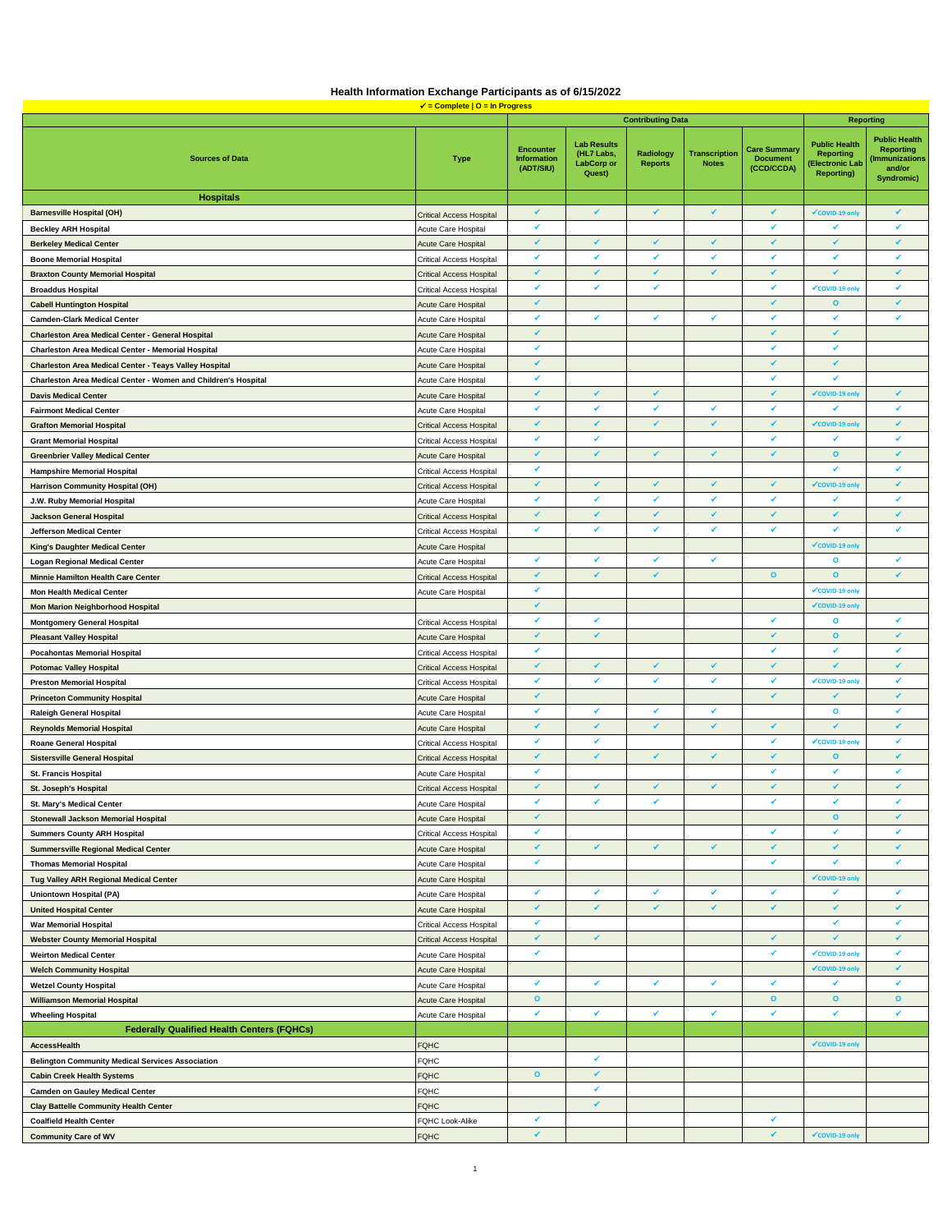|  | Health Information Exchange Participants as of 6/15/2022 |  |
|--|----------------------------------------------------------|--|
|  | $J =$ Complete $D =$ In Programs                         |  |

|                                                                |                                 |                                                     |                                                                 | <b>Contributing Data</b>           |                                      |                                                      | <b>Reporting</b>                                                                       |                                                                                  |
|----------------------------------------------------------------|---------------------------------|-----------------------------------------------------|-----------------------------------------------------------------|------------------------------------|--------------------------------------|------------------------------------------------------|----------------------------------------------------------------------------------------|----------------------------------------------------------------------------------|
| <b>Sources of Data</b>                                         | <b>Type</b>                     | <b>Encounter</b><br><b>Information</b><br>(ADT/SIU) | <b>Lab Results</b><br>(HL7 Labs,<br><b>LabCorp or</b><br>Quest) | <b>Radiology</b><br><b>Reports</b> | <b>Transcription</b><br><b>Notes</b> | <b>Care Summary</b><br><b>Document</b><br>(CCD/CCDA) | <b>Public Health</b><br><b>Reporting</b><br><b>Electronic Lab</b><br><b>Reporting)</b> | <b>Public Health</b><br><b>Reporting</b><br>mmunizations<br>and/or<br>Syndromic) |
| <b>Hospitals</b>                                               |                                 |                                                     |                                                                 |                                    |                                      |                                                      |                                                                                        |                                                                                  |
| <b>Barnesville Hospital (OH)</b>                               | <b>Critical Access Hospital</b> | ✔                                                   | ✔                                                               | ✔                                  | ✔                                    | ✔                                                    | ✔ COVID-19 only                                                                        | ✔                                                                                |
| <b>Beckley ARH Hospital</b>                                    | Acute Care Hospital             | ✔                                                   |                                                                 |                                    |                                      | ✔                                                    | ✔                                                                                      | ✔                                                                                |
| <b>Berkeley Medical Center</b>                                 | <b>Acute Care Hospital</b>      | $\checkmark$                                        | ✔                                                               | ✔                                  | ✔                                    | ✔                                                    | ✔                                                                                      | $\checkmark$                                                                     |
| <b>Boone Memorial Hospital</b>                                 | Critical Access Hospital        | ✔                                                   | ✓                                                               | ✔                                  | ✓                                    | v                                                    | v                                                                                      | ✔                                                                                |
| <b>Braxton County Memorial Hospital</b>                        | <b>Critical Access Hospital</b> | $\checkmark$                                        | ✔                                                               | ✔                                  | ✔                                    | ✔                                                    | ✔                                                                                      | $\checkmark$                                                                     |
| <b>Broaddus Hospital</b>                                       | Critical Access Hospital        | ✔                                                   | ✔                                                               | ✔                                  |                                      | ✔                                                    | ✔ COVID-19 only                                                                        | ✔                                                                                |
| <b>Cabell Huntington Hospital</b>                              | <b>Acute Care Hospital</b>      | $\checkmark$                                        |                                                                 |                                    |                                      | ✔                                                    | $\mathbf{o}$                                                                           | $\checkmark$                                                                     |
| <b>Camden-Clark Medical Center</b>                             | Acute Care Hospital             | $\checkmark$                                        | V                                                               | ✔                                  | V                                    | V                                                    | ✔                                                                                      | ✔                                                                                |
| Charleston Area Medical Center - General Hospital              | <b>Acute Care Hospital</b>      | $\checkmark$                                        |                                                                 |                                    |                                      | ✔                                                    | ✔                                                                                      |                                                                                  |
| Charleston Area Medical Center - Memorial Hospital             | Acute Care Hospital             | $\checkmark$                                        |                                                                 |                                    |                                      | ✔                                                    | ✔                                                                                      |                                                                                  |
| <b>Charleston Area Medical Center - Teays Valley Hospital</b>  | <b>Acute Care Hospital</b>      | $\checkmark$                                        |                                                                 |                                    |                                      | ✓                                                    | ✔                                                                                      |                                                                                  |
| Charleston Area Medical Center - Women and Children's Hospital | Acute Care Hospital             | ✓                                                   |                                                                 |                                    |                                      | ✓                                                    | ✔                                                                                      |                                                                                  |
| <b>Davis Medical Center</b>                                    | <b>Acute Care Hospital</b>      | $\checkmark$                                        | ✔                                                               | ✔                                  |                                      | ✓                                                    | ✔COVID-19 only                                                                         | ✔                                                                                |
| <b>Fairmont Medical Center</b>                                 | Acute Care Hospital             | ✔                                                   | ✔                                                               | ✔                                  | ✔                                    | ✔                                                    | ✔                                                                                      | ✔                                                                                |
| <b>Grafton Memorial Hospital</b>                               | <b>Critical Access Hospital</b> | ✔                                                   | $\checkmark$                                                    | ✔                                  | ✔                                    | ✔                                                    | ✔COVID-19 on                                                                           | ✔                                                                                |
| <b>Grant Memorial Hospital</b>                                 | Critical Access Hospital        | ✔                                                   | ✔                                                               |                                    |                                      | ✔                                                    | ✔                                                                                      | ✔                                                                                |
| <b>Greenbrier Valley Medical Center</b>                        | <b>Acute Care Hospital</b>      | ✔                                                   |                                                                 | ✔                                  | ✔                                    | ✔                                                    | $\mathbf{o}$                                                                           | ✔                                                                                |
| <b>Hampshire Memorial Hospital</b>                             | <b>Critical Access Hospital</b> | $\checkmark$                                        |                                                                 |                                    |                                      |                                                      | ✔                                                                                      | ✔                                                                                |
| <b>Harrison Community Hospital (OH)</b>                        | <b>Critical Access Hospital</b> | ✔                                                   | ✔                                                               | ✔                                  | ✔                                    | ✔                                                    | ✔ COVID-19 only                                                                        | ✔                                                                                |
| J.W. Ruby Memorial Hospital                                    | Acute Care Hospital             | ✔                                                   | ✔                                                               | ✔                                  | V                                    | ✔                                                    | ✔                                                                                      | ✔                                                                                |
| <b>Jackson General Hospital</b>                                | <b>Critical Access Hospital</b> | $\checkmark$                                        | ✔                                                               | ✔                                  | ✔                                    | ✔                                                    | ✔                                                                                      | $\checkmark$                                                                     |
| Jefferson Medical Center                                       | <b>Critical Access Hospital</b> | ۷                                                   | ۷                                                               | ✔                                  | ۷                                    | ✔                                                    | ۷                                                                                      | ✔                                                                                |
|                                                                |                                 |                                                     |                                                                 |                                    |                                      |                                                      | √COVID-19 onl                                                                          |                                                                                  |
| <b>King's Daughter Medical Center</b>                          | <b>Acute Care Hospital</b>      | ۷                                                   | ✔                                                               | ✔                                  | ✔                                    |                                                      | $\mathbf{o}$                                                                           | ✔                                                                                |
| <b>Logan Regional Medical Center</b>                           | Acute Care Hospital             | ٧                                                   |                                                                 | ✔                                  |                                      | $\circ$                                              | $\mathbf{o}$                                                                           | ✔                                                                                |
| <b>Minnie Hamilton Health Care Center</b>                      | <b>Critical Access Hospital</b> | ۷                                                   |                                                                 |                                    |                                      |                                                      |                                                                                        |                                                                                  |
| <b>Mon Health Medical Center</b>                               | Acute Care Hospital             | ✔                                                   |                                                                 |                                    |                                      |                                                      | ✔COVID-19 only                                                                         |                                                                                  |
| <b>Mon Marion Neighborhood Hospital</b>                        |                                 | ✔                                                   | ✔                                                               |                                    |                                      | ✔                                                    | ✔ COVID-19 only                                                                        | ✔                                                                                |
| <b>Montgomery General Hospital</b>                             | Critical Access Hospital        | ✔                                                   | ✔                                                               |                                    |                                      | ✓                                                    | $\mathbf{o}$                                                                           | $\checkmark$                                                                     |
| <b>Pleasant Valley Hospital</b>                                | <b>Acute Care Hospital</b>      |                                                     |                                                                 |                                    |                                      | ✔                                                    | $\circ$<br>✔                                                                           | ✔                                                                                |
| <b>Pocahontas Memorial Hospital</b>                            | <b>Critical Access Hospital</b> | ✔                                                   |                                                                 |                                    |                                      |                                                      |                                                                                        |                                                                                  |
| <b>Potomac Valley Hospital</b>                                 | <b>Critical Access Hospital</b> | $\checkmark$                                        | ✔                                                               | ✔                                  | ✔                                    | ✔                                                    | ✔                                                                                      | ✔                                                                                |
| <b>Preston Memorial Hospital</b>                               | Critical Access Hospital        | ✔                                                   | ✔                                                               | ✔                                  | ✔                                    | ✔                                                    | ✔ COVID-19 only                                                                        | ✔                                                                                |
| <b>Princeton Community Hospital</b>                            | <b>Acute Care Hospital</b>      | $\checkmark$                                        |                                                                 |                                    |                                      | ✓                                                    | J                                                                                      | $\checkmark$                                                                     |
| <b>Raleigh General Hospital</b>                                | Acute Care Hospital             | $\checkmark$                                        | ✔                                                               | ✔                                  | ✔                                    |                                                      | $\mathbf{o}$                                                                           | ✔                                                                                |
| <b>Reynolds Memorial Hospital</b>                              | <b>Acute Care Hospital</b>      | ✔                                                   | ✔                                                               | ✔                                  | ✔                                    | ✔                                                    | ✔                                                                                      | ✔                                                                                |
| <b>Roane General Hospital</b>                                  | Critical Access Hospital        | ۷                                                   | ✔                                                               |                                    |                                      | ✔                                                    | ✔COVID-19 only                                                                         | ✔                                                                                |
| <b>Sistersville General Hospital</b>                           | <b>Critical Access Hospital</b> | $\checkmark$                                        | V                                                               | ✓                                  | V                                    | ✓                                                    | $\mathbf{o}$                                                                           | $\checkmark$                                                                     |
| <b>St. Francis Hospital</b>                                    | Acute Care Hospital             | ۷                                                   |                                                                 |                                    |                                      | ✓                                                    | ۷                                                                                      | ✔                                                                                |
| <b>St. Joseph's Hospital</b>                                   | <b>Critical Access Hospital</b> | $\checkmark$                                        | ✔                                                               | ✓                                  | ✓                                    | ✓                                                    | ✓                                                                                      | ✔                                                                                |
| St. Mary's Medical Center                                      | Acute Care Hospital             | ✔                                                   | ✔                                                               | ✔                                  |                                      | ✔                                                    | ✔                                                                                      | ✔                                                                                |
| Stonewall Jackson Memorial Hospital                            | Acute Care Hospital             | ✔                                                   |                                                                 |                                    |                                      |                                                      | $\mathbf{o}$                                                                           | ✔                                                                                |
| <b>Summers County ARH Hospital</b>                             | <b>Critical Access Hospital</b> | ✔                                                   |                                                                 |                                    |                                      | ✓                                                    | ✔                                                                                      | ✔                                                                                |
| <b>Summersville Regional Medical Center</b>                    | <b>Acute Care Hospital</b>      | ✔                                                   | ✔                                                               | ✔                                  | ✔                                    | ✔                                                    | ✔                                                                                      | ✔                                                                                |
| <b>Thomas Memorial Hospital</b>                                | Acute Care Hospital             | ✔                                                   |                                                                 |                                    |                                      | ✔                                                    | ✔                                                                                      | ✔                                                                                |
| Tug Valley ARH Regional Medical Center                         | Acute Care Hospital             |                                                     |                                                                 |                                    |                                      |                                                      | ✔ COVID-19 only                                                                        |                                                                                  |
| <b>Uniontown Hospital (PA)</b>                                 | Acute Care Hospital             |                                                     | ✔                                                               | ✔                                  |                                      |                                                      |                                                                                        |                                                                                  |
| <b>United Hospital Center</b>                                  | <b>Acute Care Hospital</b>      | ✔                                                   | ✓                                                               | ✔                                  | ✔                                    | ✓                                                    | $\checkmark$                                                                           | $\checkmark$                                                                     |
| <b>War Memorial Hospital</b>                                   | <b>Critical Access Hospital</b> | ✔                                                   |                                                                 |                                    |                                      |                                                      | ✔                                                                                      | ✔                                                                                |
| <b>Webster County Memorial Hospital</b>                        | <b>Critical Access Hospital</b> | $\checkmark$                                        | ✔                                                               |                                    |                                      | ✔                                                    | $\checkmark$                                                                           | $\checkmark$                                                                     |
| <b>Weirton Medical Center</b>                                  | Acute Care Hospital             | ✔                                                   |                                                                 |                                    |                                      | ✓                                                    | ✔COVID-19 only                                                                         | ✔                                                                                |
| <b>Welch Community Hospital</b>                                | Acute Care Hospital             |                                                     |                                                                 |                                    |                                      |                                                      | ✔COVID-19 only                                                                         | $\checkmark$                                                                     |
| <b>Wetzel County Hospital</b>                                  | Acute Care Hospital             | ✔                                                   | ✔                                                               | ✔                                  | ✔                                    | ✔                                                    | ✔                                                                                      | ✔                                                                                |
| <b>Williamson Memorial Hospital</b>                            | <b>Acute Care Hospital</b>      | $\mathbf{o}$                                        |                                                                 |                                    |                                      | $\mathbf{o}$                                         | $\mathbf{o}$                                                                           | $\circ$                                                                          |
| <b>Wheeling Hospital</b>                                       | Acute Care Hospital             | ✔                                                   | ✔                                                               | ✓                                  | ✔                                    | v                                                    | ۶                                                                                      | ✔                                                                                |
| <b>Federally Qualified Health Centers (FQHCs)</b>              |                                 |                                                     |                                                                 |                                    |                                      |                                                      |                                                                                        |                                                                                  |
| AccessHealth                                                   | <b>FQHC</b>                     |                                                     |                                                                 |                                    |                                      |                                                      | ✔COVID-19 only                                                                         |                                                                                  |
| <b>Belington Community Medical Services Association</b>        | FQHC                            |                                                     | ✔                                                               |                                    |                                      |                                                      |                                                                                        |                                                                                  |
| <b>Cabin Creek Health Systems</b>                              | <b>FQHC</b>                     | $\mathbf{o}$                                        | ✔                                                               |                                    |                                      |                                                      |                                                                                        |                                                                                  |
| <b>Camden on Gauley Medical Center</b>                         | <b>FQHC</b>                     |                                                     | ۷                                                               |                                    |                                      |                                                      |                                                                                        |                                                                                  |
| <b>Clay Battelle Community Health Center</b>                   | <b>FQHC</b>                     |                                                     | ✓                                                               |                                    |                                      |                                                      |                                                                                        |                                                                                  |
| <b>Coalfield Health Center</b>                                 | FQHC Look-Alike                 | ✔                                                   |                                                                 |                                    |                                      | ✔                                                    |                                                                                        |                                                                                  |
| <b>Community Care of WV</b>                                    | <b>FQHC</b>                     | $\checkmark$                                        |                                                                 |                                    |                                      | ✔                                                    | √COVID-19 only                                                                         |                                                                                  |
|                                                                |                                 |                                                     |                                                                 |                                    |                                      |                                                      |                                                                                        |                                                                                  |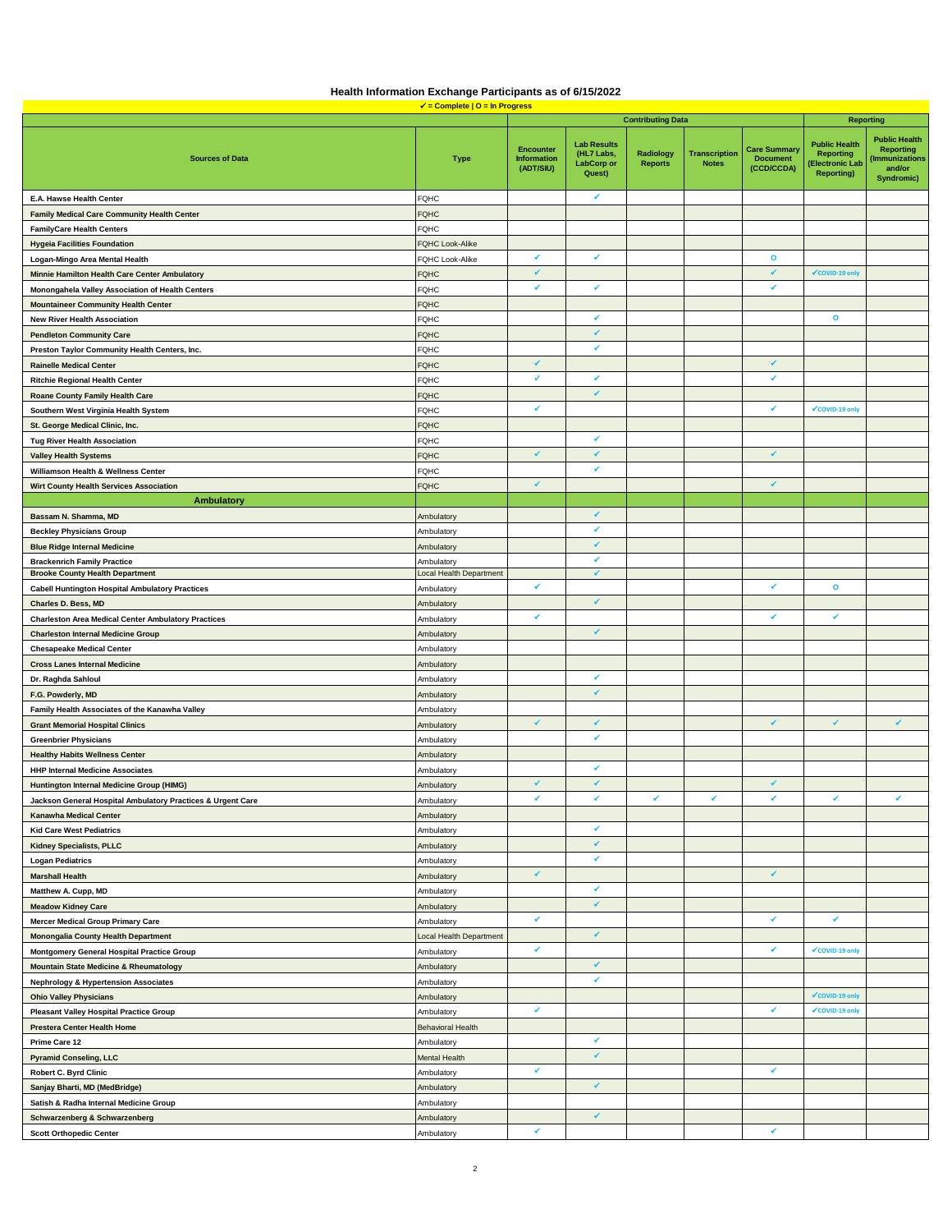| Health Information Exchange Participants as of 6/15/2022 |                                  |  |
|----------------------------------------------------------|----------------------------------|--|
|                                                          | $J =$ Complete $D =$ In Progress |  |

|                                                             |                          |                                              |                                                                 | <b>Contributing Data</b>    |                                      |                                                      | <b>Reporting</b>                                                                       |                                                                                  |
|-------------------------------------------------------------|--------------------------|----------------------------------------------|-----------------------------------------------------------------|-----------------------------|--------------------------------------|------------------------------------------------------|----------------------------------------------------------------------------------------|----------------------------------------------------------------------------------|
| <b>Sources of Data</b>                                      | <b>Type</b>              | <b>Encounter</b><br>Information<br>(ADT/SIU) | <b>Lab Results</b><br>(HL7 Labs,<br><b>LabCorp or</b><br>Quest) | Radiology<br><b>Reports</b> | <b>Transcription</b><br><b>Notes</b> | <b>Care Summary</b><br><b>Document</b><br>(CCD/CCDA) | <b>Public Health</b><br><b>Reporting</b><br><b>Electronic Lab</b><br><b>Reporting)</b> | <b>Public Health</b><br><b>Reporting</b><br>mmunizations<br>and/or<br>Syndromic) |
| E.A. Hawse Health Center                                    | <b>FQHC</b>              |                                              | ✔                                                               |                             |                                      |                                                      |                                                                                        |                                                                                  |
| <b>Family Medical Care Community Health Center</b>          | <b>FQHC</b>              |                                              |                                                                 |                             |                                      |                                                      |                                                                                        |                                                                                  |
| <b>FamilyCare Health Centers</b>                            | <b>FQHC</b>              |                                              |                                                                 |                             |                                      |                                                      |                                                                                        |                                                                                  |
| <b>Hygeia Facilities Foundation</b>                         | FQHC Look-Alike          |                                              |                                                                 |                             |                                      |                                                      |                                                                                        |                                                                                  |
| Logan-Mingo Area Mental Health                              | FQHC Look-Alike          | ✔                                            | ✔                                                               |                             |                                      | $\mathbf{o}$                                         |                                                                                        |                                                                                  |
| Minnie Hamilton Health Care Center Ambulatory               | <b>OHC</b>               | ✔                                            |                                                                 |                             |                                      | ✔                                                    | ✔ COVID-19 only                                                                        |                                                                                  |
| Monongahela Valley Association of Health Centers            | <b>FQHC</b>              | ✔                                            | ✔                                                               |                             |                                      | ✔                                                    |                                                                                        |                                                                                  |
| <b>Mountaineer Community Health Center</b>                  | <b>FQHC</b>              |                                              |                                                                 |                             |                                      |                                                      |                                                                                        |                                                                                  |
| <b>New River Health Association</b>                         | FQHC                     |                                              | ✔                                                               |                             |                                      |                                                      | $\mathbf{o}$                                                                           |                                                                                  |
| <b>Pendleton Community Care</b>                             | <b>OHC</b>               |                                              | ✔                                                               |                             |                                      |                                                      |                                                                                        |                                                                                  |
| Preston Taylor Community Health Centers, Inc.               | <b>FQHC</b>              |                                              | ✔                                                               |                             |                                      |                                                      |                                                                                        |                                                                                  |
| <b>Rainelle Medical Center</b>                              | <b>FQHC</b>              | ✔                                            |                                                                 |                             |                                      | ✔                                                    |                                                                                        |                                                                                  |
| <b>Ritchie Regional Health Center</b>                       | FQHC                     | ✔                                            | ✔                                                               |                             |                                      | ✔                                                    |                                                                                        |                                                                                  |
| Roane County Family Health Care                             | <b>FQHC</b>              |                                              | ✔                                                               |                             |                                      |                                                      |                                                                                        |                                                                                  |
| Southern West Virginia Health System                        | FQHC                     | v                                            |                                                                 |                             |                                      | ✓                                                    | ✔COVID-19 only                                                                         |                                                                                  |
| St. George Medical Clinic, Inc.                             | <b>FQHC</b>              |                                              |                                                                 |                             |                                      |                                                      |                                                                                        |                                                                                  |
| <b>Tug River Health Association</b>                         | <b>FQHC</b>              |                                              | ✔                                                               |                             |                                      |                                                      |                                                                                        |                                                                                  |
| <b>Valley Health Systems</b>                                | <b>OHC</b>               | $\checkmark$                                 | $\checkmark$                                                    |                             |                                      | ✔                                                    |                                                                                        |                                                                                  |
| Williamson Health & Wellness Center                         | <b>FQHC</b>              |                                              | ✔                                                               |                             |                                      |                                                      |                                                                                        |                                                                                  |
| Wirt County Health Services Association                     | <b>FQHC</b>              |                                              |                                                                 |                             |                                      | ✔                                                    |                                                                                        |                                                                                  |
| <b>Ambulatory</b>                                           |                          |                                              |                                                                 |                             |                                      |                                                      |                                                                                        |                                                                                  |
| Bassam N. Shamma, MD                                        | Ambulatory               |                                              | ✔                                                               |                             |                                      |                                                      |                                                                                        |                                                                                  |
| <b>Beckley Physicians Group</b>                             | Ambulatory               |                                              | V                                                               |                             |                                      |                                                      |                                                                                        |                                                                                  |
| <b>Blue Ridge Internal Medicine</b>                         | Ambulatory               |                                              | ✔                                                               |                             |                                      |                                                      |                                                                                        |                                                                                  |
| <b>Brackenrich Family Practice</b>                          | Ambulatory               |                                              | ✔                                                               |                             |                                      |                                                      |                                                                                        |                                                                                  |
| <b>Brooke County Health Department</b>                      | Local Health Department  |                                              | $\checkmark$                                                    |                             |                                      |                                                      |                                                                                        |                                                                                  |
| <b>Cabell Huntington Hospital Ambulatory Practices</b>      | Ambulatory               | ۷                                            |                                                                 |                             |                                      | ✔                                                    | $\mathbf{o}$                                                                           |                                                                                  |
| Charles D. Bess, MD                                         | Ambulatory               |                                              | ✓                                                               |                             |                                      |                                                      |                                                                                        |                                                                                  |
| <b>Charleston Area Medical Center Ambulatory Practices</b>  | Ambulatory               | ✔                                            |                                                                 |                             |                                      | ✔                                                    | ۷                                                                                      |                                                                                  |
| <b>Charleston Internal Medicine Group</b>                   | Ambulatory               |                                              | ✔                                                               |                             |                                      |                                                      |                                                                                        |                                                                                  |
| <b>Chesapeake Medical Center</b>                            | Ambulatory               |                                              |                                                                 |                             |                                      |                                                      |                                                                                        |                                                                                  |
| <b>Cross Lanes Internal Medicine</b>                        | Ambulatory               |                                              |                                                                 |                             |                                      |                                                      |                                                                                        |                                                                                  |
| Dr. Raghda Sahloul                                          | Ambulatory               |                                              | ✓                                                               |                             |                                      |                                                      |                                                                                        |                                                                                  |
| F.G. Powderly, MD                                           | Ambulatory               |                                              | ✔                                                               |                             |                                      |                                                      |                                                                                        |                                                                                  |
| Family Health Associates of the Kanawha Valley              | Ambulatory               |                                              |                                                                 |                             |                                      |                                                      |                                                                                        |                                                                                  |
| <b>Grant Memorial Hospital Clinics</b>                      | Ambulatory               | $\checkmark$                                 | ✔                                                               |                             |                                      | ✓                                                    | $\checkmark$                                                                           | ✔                                                                                |
| <b>Greenbrier Physicians</b>                                | Ambulatory               |                                              | ✔                                                               |                             |                                      |                                                      |                                                                                        |                                                                                  |
| <b>Healthy Habits Wellness Center</b>                       | Ambulatory               |                                              |                                                                 |                             |                                      |                                                      |                                                                                        |                                                                                  |
| <b>HHP Internal Medicine Associates</b>                     | Ambulatory               |                                              | ✔                                                               |                             |                                      |                                                      |                                                                                        |                                                                                  |
| Huntington Internal Medicine Group (HIMG)                   | Ambulatory               | $\checkmark$                                 | ✔                                                               |                             |                                      | ✓                                                    |                                                                                        |                                                                                  |
| Jackson General Hospital Ambulatory Practices & Urgent Care | Ambulatory               | ✔                                            | ✔                                                               | ✔                           | ✓                                    | ✔                                                    | ✔                                                                                      | ✔                                                                                |
| Kanawha Medical Center                                      | Ambulatory               |                                              |                                                                 |                             |                                      |                                                      |                                                                                        |                                                                                  |
| <b>Kid Care West Pediatrics</b>                             | Ambulatory               |                                              |                                                                 |                             |                                      |                                                      |                                                                                        |                                                                                  |
| <b>Kidney Specialists, PLLC</b>                             | Ambulatory               |                                              | $\checkmark$                                                    |                             |                                      |                                                      |                                                                                        |                                                                                  |
| <b>Logan Pediatrics</b>                                     | Ambulatory               |                                              | ✔                                                               |                             |                                      |                                                      |                                                                                        |                                                                                  |
| <b>Marshall Health</b>                                      | Ambulatory               | $\checkmark$                                 |                                                                 |                             |                                      | ✔                                                    |                                                                                        |                                                                                  |
| Matthew A. Cupp, MD                                         | Ambulatory               |                                              | ✔                                                               |                             |                                      |                                                      |                                                                                        |                                                                                  |
| <b>Meadow Kidney Care</b>                                   | Ambulatory               |                                              | ✔                                                               |                             |                                      |                                                      |                                                                                        |                                                                                  |
| <b>Mercer Medical Group Primary Care</b>                    | Ambulatory               | ✔                                            |                                                                 |                             |                                      | ✔                                                    | ✓                                                                                      |                                                                                  |
| <b>Monongalia County Health Department</b>                  | Local Health Department  |                                              | ✔                                                               |                             |                                      |                                                      |                                                                                        |                                                                                  |
| Montgomery General Hospital Practice Group                  | Ambulatory               | ✔                                            |                                                                 |                             |                                      | ✓                                                    | ✔ COVID-19 only                                                                        |                                                                                  |
| <b>Mountain State Medicine &amp; Rheumatology</b>           | Ambulatory               |                                              | ✔                                                               |                             |                                      |                                                      |                                                                                        |                                                                                  |
| <b>Nephrology &amp; Hypertension Associates</b>             | Ambulatory               |                                              | ✔                                                               |                             |                                      |                                                      |                                                                                        |                                                                                  |
| <b>Ohio Valley Physicians</b>                               | Ambulatory               |                                              |                                                                 |                             |                                      |                                                      | √COVID-19 only                                                                         |                                                                                  |
| <b>Pleasant Valley Hospital Practice Group</b>              | Ambulatory               | ✔                                            |                                                                 |                             |                                      | ✓                                                    | ✔COVID-19 only                                                                         |                                                                                  |
| <b>Prestera Center Health Home</b>                          | <b>Behavioral Health</b> |                                              |                                                                 |                             |                                      |                                                      |                                                                                        |                                                                                  |
| Prime Care 12                                               | Ambulatory               |                                              | ✔                                                               |                             |                                      |                                                      |                                                                                        |                                                                                  |
| <b>Pyramid Conseling, LLC</b>                               | Mental Health            |                                              | ✔                                                               |                             |                                      |                                                      |                                                                                        |                                                                                  |
| Robert C. Byrd Clinic                                       | Ambulatory               | ✔                                            |                                                                 |                             |                                      | ✔                                                    |                                                                                        |                                                                                  |
| Sanjay Bharti, MD (MedBridge)                               | Ambulatory               |                                              | ✔                                                               |                             |                                      |                                                      |                                                                                        |                                                                                  |
| Satish & Radha Internal Medicine Group                      | Ambulatory               |                                              |                                                                 |                             |                                      |                                                      |                                                                                        |                                                                                  |
| Schwarzenberg & Schwarzenberg                               | Ambulatory               |                                              | ✔                                                               |                             |                                      |                                                      |                                                                                        |                                                                                  |
| <b>Scott Orthopedic Center</b>                              | Ambulatory               | ۷                                            |                                                                 |                             |                                      |                                                      |                                                                                        |                                                                                  |